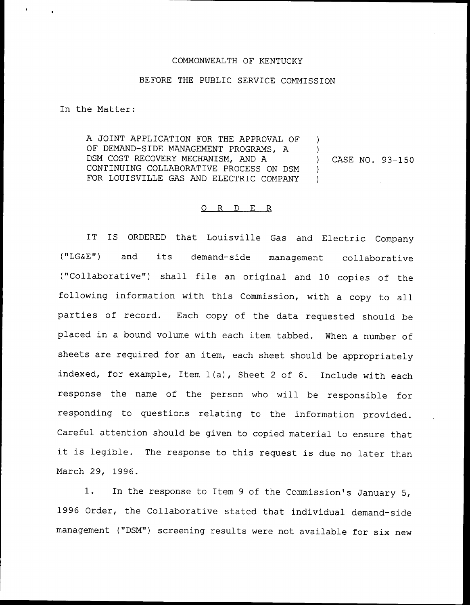## COMMONWEALTH OF KENTUCKY

## BEFORE THE PUBLIC SERVICE COMMISSION

In the Matter:

A JOINT APPLICATION FOR THE APPROVAL QF OF DEMAND-SIDE MANAGEMENT PROGRAMS, A DSM COST RECOVERY MECHANISM, AND A CONTINUING COLLABORATIVE PROCESS QN DSM FOR LOUISVILLE GAS AND ELECTRIC COMPANY  $\left| \right\rangle$ ) )  $\left| \right\rangle$ 

) CASE NO. 93-150

## 0 R <sup>D</sup> E R

IT IS ORDERED that Louisville Gas and Electric Company ("LG6E") and its demand-side management collaborative ("Collaborative") shall file an original and 10 copies of the following information with this Commission, with <sup>a</sup> copy to all parties of record. Each copy of the data requested should be placed in a bound volume with each item tabbed. When a number of sheets are required for an item, each sheet should be appropriately indexed, for example, Item 1(a), Sheet <sup>2</sup> of 6. Include with each response the name of the person who will be responsible for responding to questions relating to the information provided. Careful attention should be given to copied material to ensure that it is legible. The response to this request is due no later than March 29, 1996.

1. In the response to Item <sup>9</sup> of the Commission's January 5, 1996 Order, the Collaborative stated that individual demand-side management ("DSM") screening results were not available for six new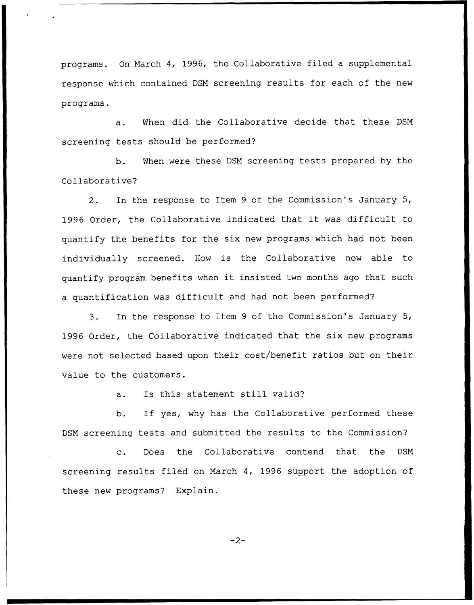programs. On March 4, 1996, the Collaborative filed a supplemental response which contained DSN screening results for each of the new programs.

a. When did the Collaborative decide that these DSN screening tests should be performed?

b. When were these DSM screening tests prepared by the Collaborative?

2. In the response to Item 9 of the Commission's January 5, 1996 Order, the Collaborative indicated that it was difficult to quantify the benefits for the six new programs which had not been individually screened. How is the Collaborative now able to quantify program benefits when it insisted two months ago that such a quantification was difficult and had not been performed?

3. In the response to Item <sup>9</sup> of the Commission's January 5, 1996 Order, the Collaborative indicated that the six new programs were not selected based upon their cost/benefit ratios but on their value to the customers.

a. Is this statement still valid?

b. If yes, why has the Collaborative performed these DSM screening tests and submitted the results to the Commission?

c. Does the Collaborative contend that the DSM screening results filed on March 4, 1996 support the adoption of these new programs? Explain.

 $-2-$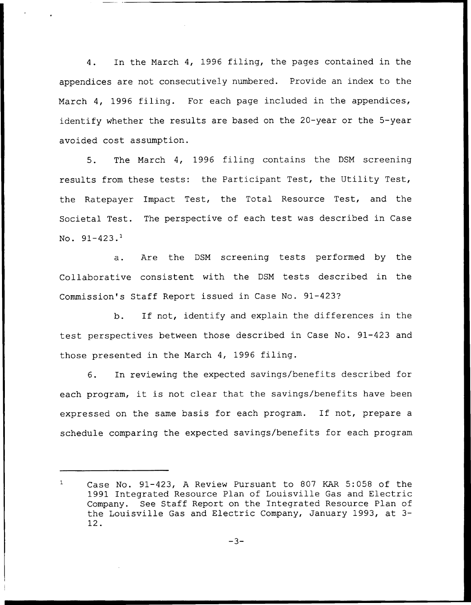4. In the March 4, 1996 filing, the pages contained in the appendices are not consecutively numbered. Provide an index to the March 4, 1996 filing. For each page included in the appendices, identify whether the results are based on the 20-year or the 5-year avoided cost assumption.

5. The March 4, 1996 filing contains the DSM screening results from these tests: the Participant Test, the Utility Test, the Ratepayer Impact Test, the Total Resource Test, and the Societal Test. The perspective of each test was described in Case No.  $91-423$ .<sup>1</sup>

Are the DSM screening tests performed by the  $a.$ Collaborative consistent with the DSM tests described in the Commission's Staff Report issued in Case No. 91-423?

b. If not, identify and explain the differences in the test perspectives between those described in Case No. 91-423 and those presented in the March 4, 1996 filing.

6. In reviewing the expected savings/benefits described for each program, it is not clear that the savings/benefits have been expressed on the same basis for each program. If not, prepare <sup>a</sup> schedule comparing the expected savings/benefits for each program

Case No. 91-423, <sup>A</sup> Review Pursuant to 807 KAR 5:058 of the 1991 Integrated Resource Plan of Louisville Gas and Electric Company. See Staff Report on the Integrated Resource Plan of the Louisville Gas and Electric Company, January 1993, at 3- 12.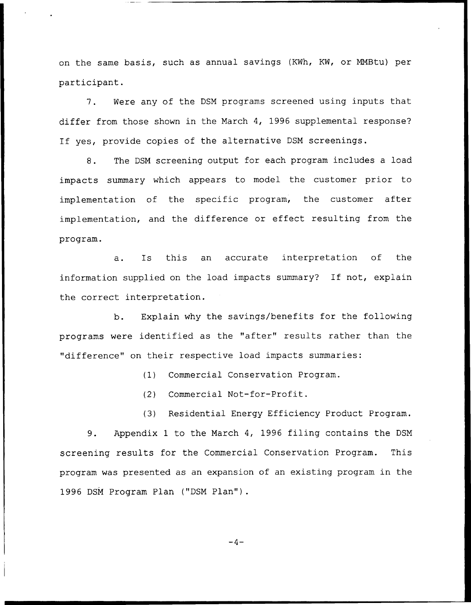on the same basis, such as annual savings (KWh, KW, or NMBtu) per participant.

7. Were any of the DSN programs screened using inputs that differ from those shown in the Narch 4, 1996 supplemental response? If yes, provide copies of the alternative DSN screenings.

8. The DSM screening output for each program includes a load impacts summary which appears to model the customer prior to implementation of the specific program, the customer after implementation, and the difference or effect resulting from the program.

a. Is this an accurate interpretation of the information supplied on the load impacts summary? If not, explain the correct interpretation.

b. Explain why the savings/benefits for the following programs were identified as the "after" results rather than the "difference" on their respective load impacts summaries:

(1) Commercial Conservation Program.

(2) Commercial Not-for-Profit.

(3) Residential Energy Efficiency Product Program,

9. Appendix <sup>1</sup> to the March 4, 1996 filing contains the DSN screening results for the Commercial Conservation Program. This program was presented as an expansion of an existing program in the 1996 DSM Program Plan ("DSM Plan").

 $-4-$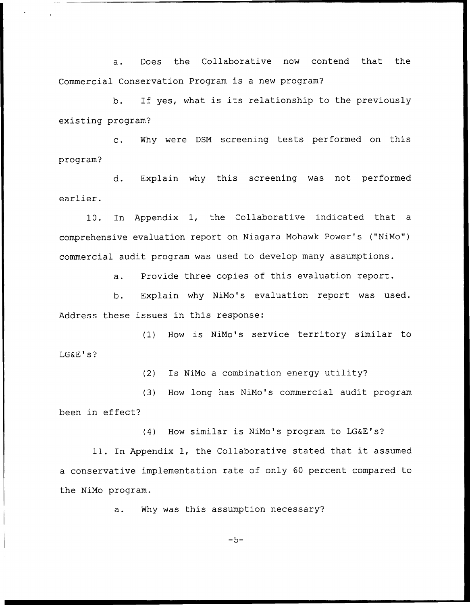a. Does the Collaborative now contend that the Commercial Conservation Program is a new program?

b. If yes, what is its relationship to the previously existing program'?

c. Why were DSM screening tests performed on this program?

d. Explain why this screening was not performed earlier.

10. In Appendix 1, the Collaborative indicated that a comprehensive evaluation report on Niagara Mohawk Power's ("NiMo") commercial audit program was used to develop many assumptions.

a. Provide three copies of this evaluation report.

b. Explain why NiMo's evaluation report was used. Address these issues in this response:

(1) How is NiMo's service territory similar to LG&E's?

(2) Is NiMo <sup>a</sup> combination energy utility'

(3) How long has NiMo's commercial audit program been in effect?

(4) How similar is NiMo's program to LG&E's?

11. In Appendix 1, the Collaborative stated that it assumed a conservative implementation rate of only 60 percent compared to the NiMo program.

a. Why was this assumption necessary?

 $-5-$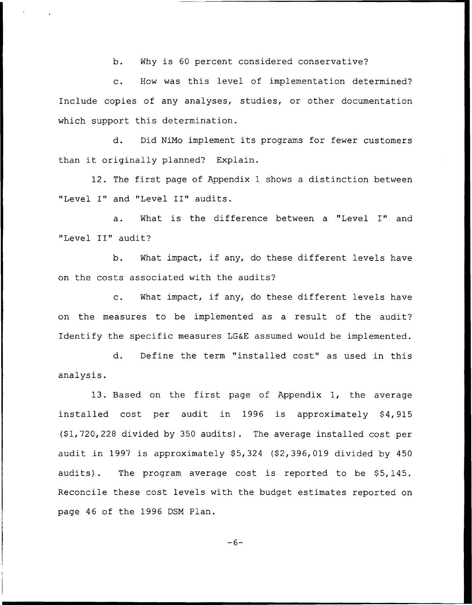b. Why is <sup>60</sup> percent considered conservative?

c. How was this level of implementation determined? Include copies of any analyses, studies, or other documentation which support this determination.

d. Did NiMo implement its programs for fewer customers than it originally planned? Explain.

12. The first page of Appendix <sup>1</sup> shows <sup>a</sup> distinction between "Level I" and "Level II" audits.

a. What is the difference between <sup>a</sup> "Level I" and "Level II" audit?

b. What impact, if any, do these different levels have on the costs associated with the audits'?

c. What impact, if any, do these different levels have on the measures to be implemented as a result of the audit? Identify the specific measures LG&E assumed would be implemented.

d. Define the term "installed cost" as used in this analysis.

13. Based on the first page of Appendix 1, the average installed cost per audit in 1996 is approximately \$4,915  $(91, 720, 228$  divided by 350 audits). The average installed cost per audit in 1997 is approximately  $$5,324$   $$2,396,019$  divided by  $450$ audits). The program average cost is reported to be \$5,145. Reconcile these cost levels with the budget estimates reported on page 46 of the 1996 DSM Plan.

 $-6-$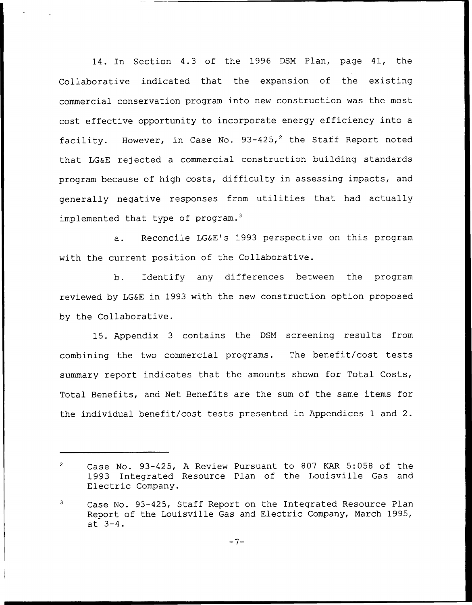14. In Section 4.3 of the 1996 DSM Plan, page 41, the Collaborative indicated that the expansion of the existing commercial conservation program into new construction was the most cost effective opportunity to incorporate energy efficiency into a facility. However, in Case No.  $93-425$ , the Staff Report noted that LG&E rejected a commercial construction building standards program because of high costs, difficulty in assessing impacts, and generally negative responses from utilities that had actually implemented that type of  $program.^3$ 

Reconcile LG&E's 1993 perspective on this program  $a.$ with the current position of the Collaborative.

b. Identify any differences between the program reviewed by LG&E in 1993 with the new construction option proposed by the Collaborative.

15. Appendix <sup>3</sup> contains the DSM screening results from combining the two commercial programs. The benefit/cost tests summary report indicates that the amounts shown for Total Costs, Total Benefits, and Net Benefits are the sum of the same items for the individual benefit/cost tests presented in Appendices <sup>1</sup> and 2.

 $\overline{2}$ Case No. 93-425, <sup>A</sup> Review Pursuant to 807 KAR 5:058 of the 1993 Integrated Resource Plan of the Louisville Gas and Electric Company.

<sup>3</sup> Case No. 93-425, Staff Report on the Integrated Resource Plan Report of the Louisville Gas and Electric Company, March 1995, at 3-4.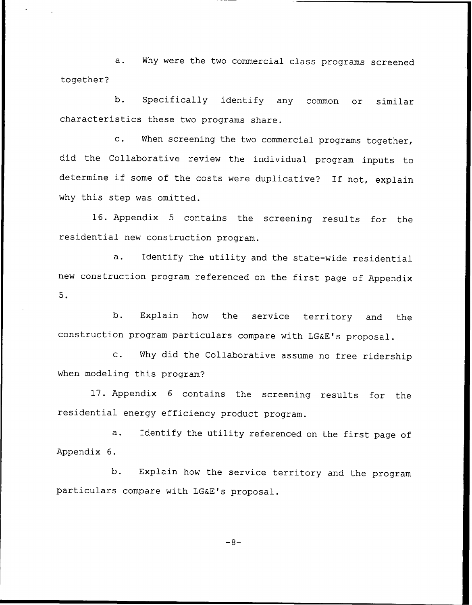a. Why were the two commercial class programs screened together?

b. Specifically identify any common or similar characteristics these two programs share.

c. When screening the two commercial programs together, did the Collaborative review the individual program inputs to determine if some of the costs were duplicative? If not, explain why this step was omitted.

16. Appendix <sup>5</sup> contains the screening results for the residential new construction program.

a. Identify the utility and the state-wide residential new construction program referenced on the first page of Appendix 5.

b. Explain how the service territory and the construction program particulars compare with LG&E's proposal.

c. Why did the Collaborative assume no free ridership when modeling this program?

17. Appendix <sup>6</sup> contains the screening results for the residential energy efficiency product program.

a. Identify the utility referenced on the first page of Appendix 6.

b. Explain how the service territory and the program particulars compare with LG&E's proposal.

 $-8-$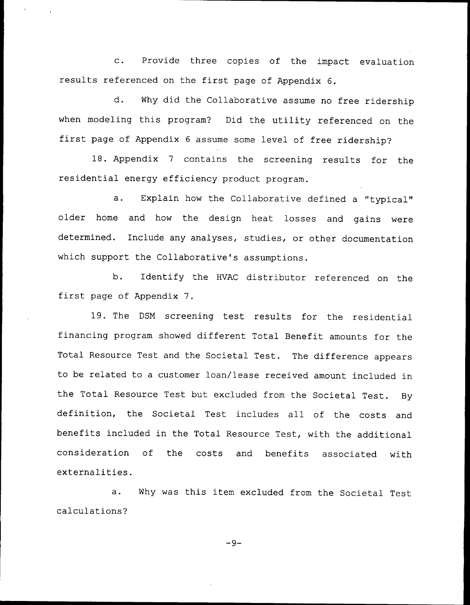c. Provide three copies of the impact evaluation results referenced on the first page of Appendix 6.

d. Why did the Collaborative assume no free ridership when modeling this program? Did the utility referenced on the first page of Appendix <sup>6</sup> assume some level of free ridership?

18. Appendix <sup>7</sup> contains the screening results for the residential energy efficiency product program.

a. Explain how the Collaborative defined <sup>a</sup> "typical" older home and how the design heat losses and gains were determined. Include any analyses, studies, or other documentation which support the Collaborative's assumptions.

b. Identify the HVAC distributor referenced on the first page of Appendix 7.

19. The DSM screening test results for the residential financing program showed different Total Benefit amounts for the Total Resource Test and the Societal Test. The difference appears to be related to a customer loan/lease received amount included in the Total Resource Test but excluded from the Societal Test. By definition, the Societal Test includes all of the costs and benefits included in the Total Resource Test, with the additional consideration of the costs and benefits associated with externalities.

a. Why was this item excluded from the Societal Test calculations?

 $-9-$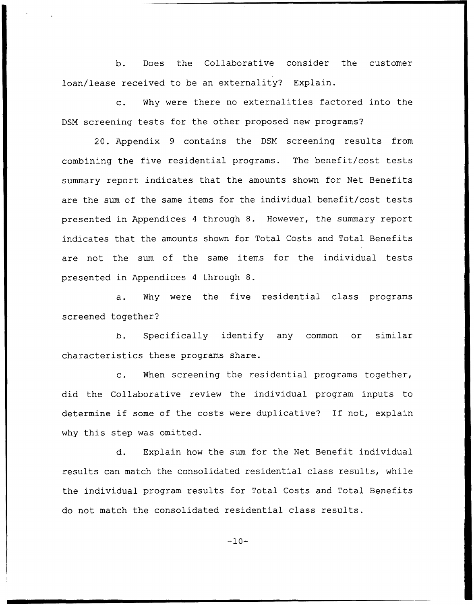b. Does the Collaborative consider the customer loan/lease received to be an externality? Explain.

c. Why were there no externalities factored into the DSM screening tests for the other proposed new programs?

20. Appendix 9 contains the DSM screening results from combining the five residential programs. The benefit/cost tests summary report indicates that the amounts shown for Net Benefits are the sum of the same items for the individual benefit/cost tests presented in Appendices <sup>4</sup> through 8. However, the summary report indicates that the amounts shown for Total Costs and Total Benefits are not the sum of the same items for the individual tests presented in Appendices <sup>4</sup> through 8.

a. Why were the five residential class programs screened together?

b. Specifically identify any common or similar characteristics these programs share.

c. When screening the residential programs together, did the Collaborative review the individual program inputs to determine if some of the costs were duplicative? If not, explain why this step was omitted.

d. Explain how the sum for the Net Benefit individual results can match the consolidated residential class results, while the individual program results for Total Costs and Total Benefits do not match the consolidated residential class results.

 $-10-$